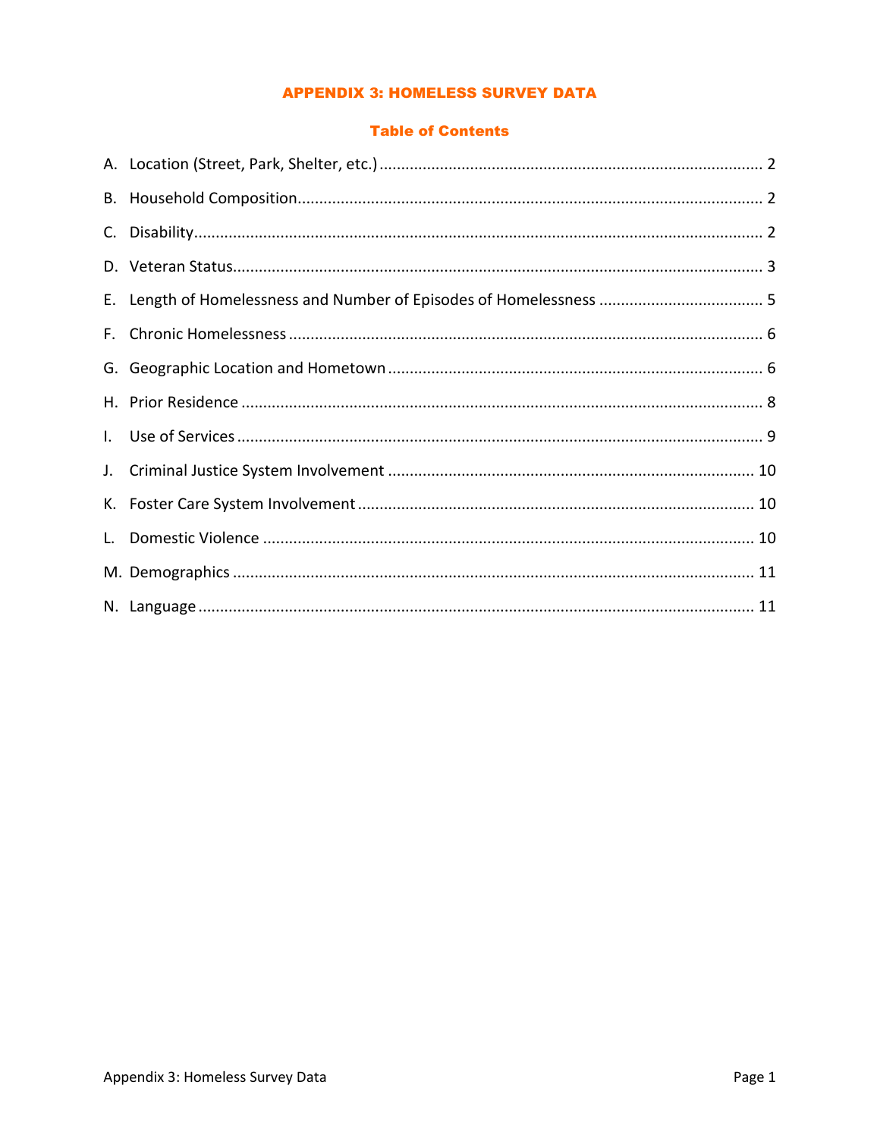### **APPENDIX 3: HOMELESS SURVEY DATA**

#### **Table of Contents**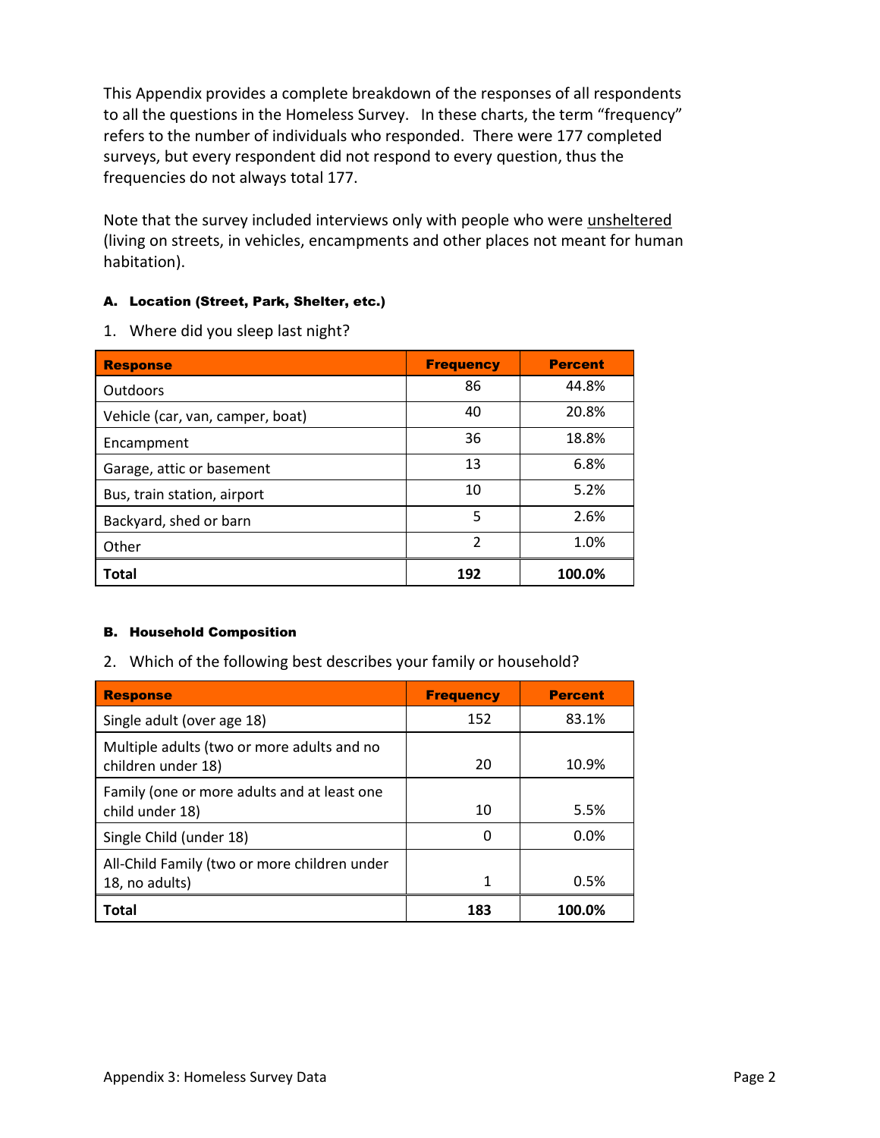This Appendix provides a complete breakdown of the responses of all respondents to all the questions in the Homeless Survey. In these charts, the term "frequency" refers to the number of individuals who responded. There were 177 completed surveys, but every respondent did not respond to every question, thus the frequencies do not always total 177.

Note that the survey included interviews only with people who were unsheltered (living on streets, in vehicles, encampments and other places not meant for human habitation).

### A. Location (Street, Park, Shelter, etc.)

1. Where did you sleep last night?

| <b>Response</b>                  | <b>Frequency</b> | <b>Percent</b> |
|----------------------------------|------------------|----------------|
| <b>Outdoors</b>                  | 86               | 44.8%          |
| Vehicle (car, van, camper, boat) | 40               | 20.8%          |
| Encampment                       | 36               | 18.8%          |
| Garage, attic or basement        | 13               | 6.8%           |
| Bus, train station, airport      | 10               | 5.2%           |
| Backyard, shed or barn           | 5                | 2.6%           |
| Other                            | $\mathfrak z$    | 1.0%           |
| <b>Total</b>                     | 192              | 100.0%         |

### B. Household Composition

2. Which of the following best describes your family or household?

| <b>Response</b>                                                  | <b>Frequency</b> | <b>Percent</b> |
|------------------------------------------------------------------|------------------|----------------|
| Single adult (over age 18)                                       | 152              | 83.1%          |
| Multiple adults (two or more adults and no<br>children under 18) | 20               | 10.9%          |
| Family (one or more adults and at least one<br>child under 18)   | 10               | 5.5%           |
| Single Child (under 18)                                          | 0                | $0.0\%$        |
| All-Child Family (two or more children under<br>18, no adults)   | 1                | 0.5%           |
| Total                                                            | 183              | 100.0%         |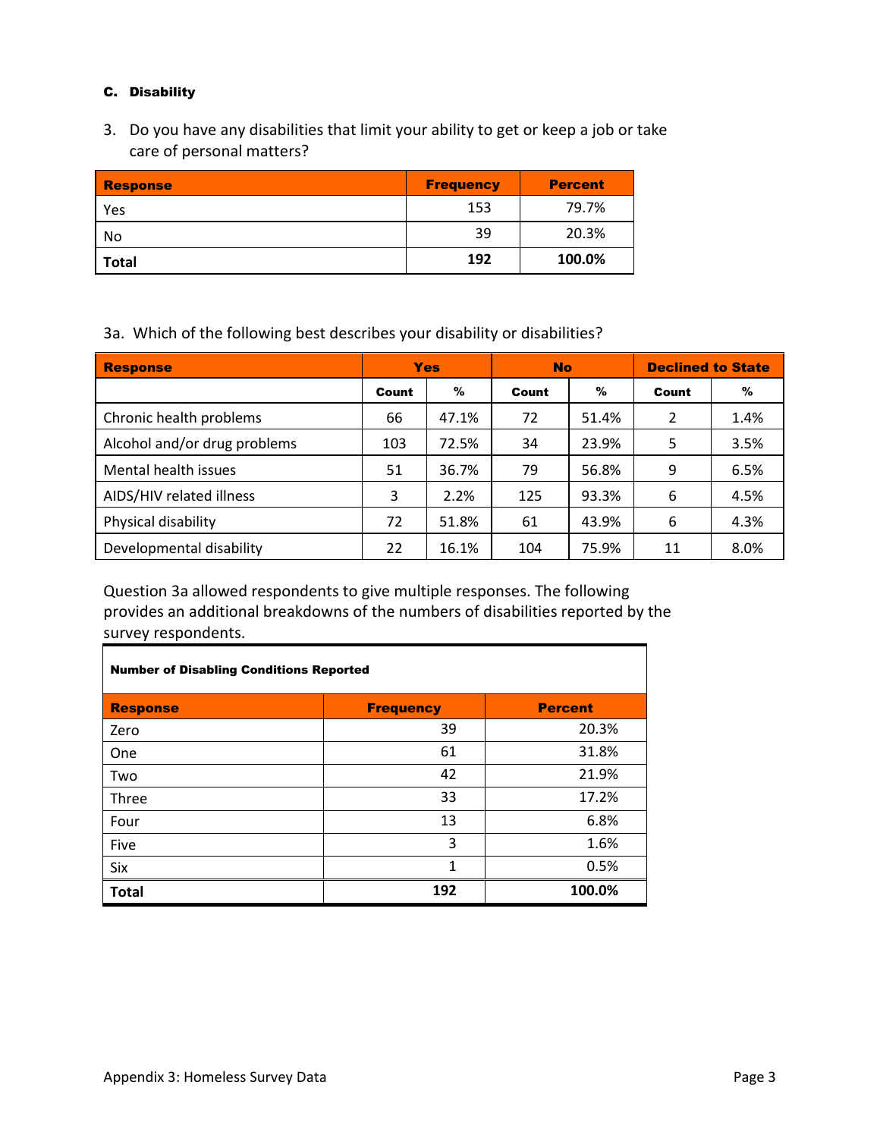#### C. Disability

3. Do you have any disabilities that limit your ability to get or keep a job or take care of personal matters?

| <b>Response</b> | <b>Frequency</b> | <b>Percent</b> |
|-----------------|------------------|----------------|
| Yes             | 153              | 79.7%          |
| No              | 39               | 20.3%          |
| <b>Total</b>    | 192              | 100.0%         |

3a. Which of the following best describes your disability or disabilities?

| <b>Response</b>              |       | <b>Yes</b> | <b>No</b> |       | <b>Declined to State</b> |      |
|------------------------------|-------|------------|-----------|-------|--------------------------|------|
|                              | Count | %          | Count     | $\%$  | Count                    | $\%$ |
| Chronic health problems      | 66    | 47.1%      | 72        | 51.4% | 2                        | 1.4% |
| Alcohol and/or drug problems | 103   | 72.5%      | 34        | 23.9% | 5                        | 3.5% |
| Mental health issues         | 51    | 36.7%      | 79        | 56.8% | 9                        | 6.5% |
| AIDS/HIV related illness     | 3     | 2.2%       | 125       | 93.3% | 6                        | 4.5% |
| Physical disability          | 72    | 51.8%      | 61        | 43.9% | 6                        | 4.3% |
| Developmental disability     | 22    | 16.1%      | 104       | 75.9% | 11                       | 8.0% |

Question 3a allowed respondents to give multiple responses. The following provides an additional breakdowns of the numbers of disabilities reported by the survey respondents.

| <b>Number of Disabling Conditions Reported</b> |                  |                |  |  |
|------------------------------------------------|------------------|----------------|--|--|
| <b>Response</b>                                | <b>Frequency</b> | <b>Percent</b> |  |  |
| Zero                                           | 39               | 20.3%          |  |  |
| One                                            | 61               | 31.8%          |  |  |
| Two                                            | 42               | 21.9%          |  |  |
| Three                                          | 33               | 17.2%          |  |  |
| Four                                           | 13               | 6.8%           |  |  |
| Five                                           | 3                | 1.6%           |  |  |
| Six                                            | 1                | 0.5%           |  |  |
| <b>Total</b>                                   | 192              | 100.0%         |  |  |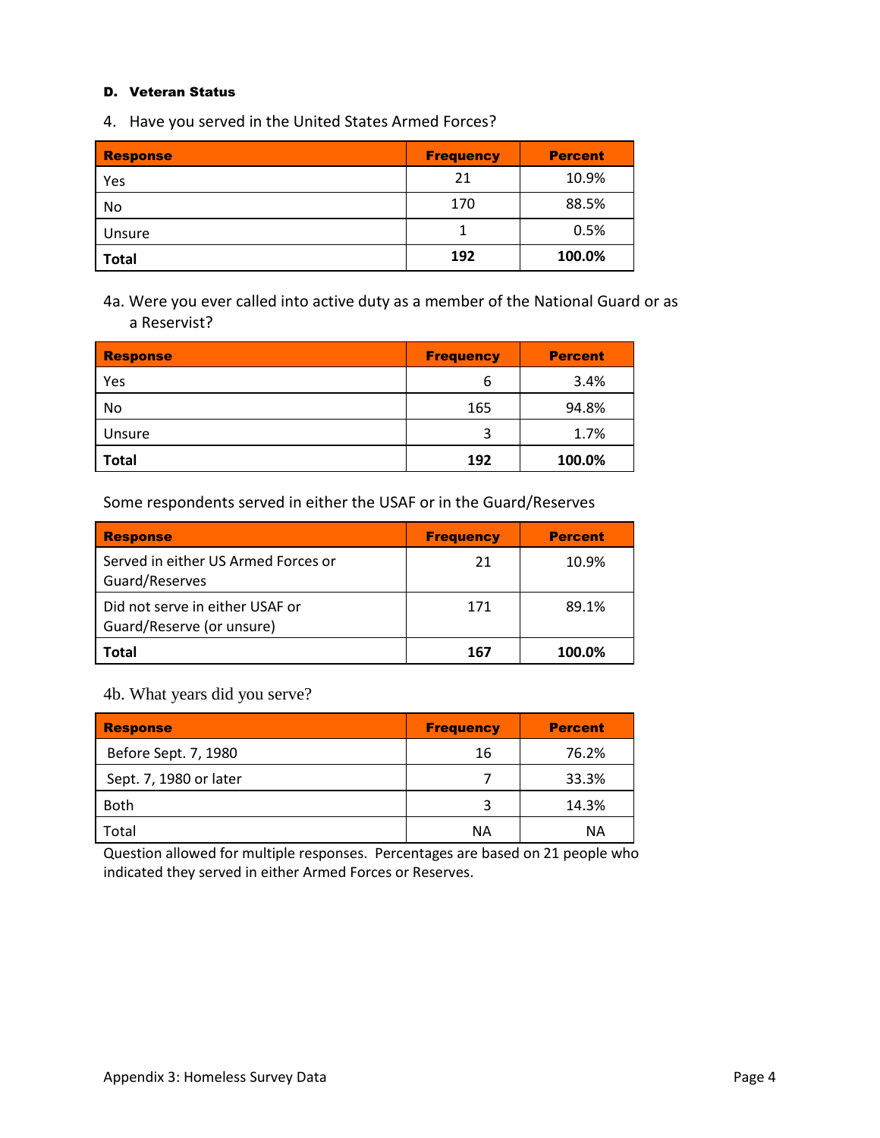#### D. Veteran Status

4. Have you served in the United States Armed Forces?

| <b>Response</b> | <b>Frequency</b> | <b>Percent</b> |
|-----------------|------------------|----------------|
| Yes             | 21               | 10.9%          |
| No              | 170              | 88.5%          |
| Unsure          |                  | 0.5%           |
| <b>Total</b>    | 192              | 100.0%         |

4a. Were you ever called into active duty as a member of the National Guard or as a Reservist?

| <b>Response</b> | <b>Frequency</b> | <b>Percent</b> |
|-----------------|------------------|----------------|
| Yes             | 6                | 3.4%           |
| No              | 165              | 94.8%          |
| Unsure          | 3                | 1.7%           |
| <b>Total</b>    | 192              | 100.0%         |

Some respondents served in either the USAF or in the Guard/Reserves

| <b>Response</b>                                              | <b>Frequency</b> | <b>Percent</b> |
|--------------------------------------------------------------|------------------|----------------|
| Served in either US Armed Forces or<br>Guard/Reserves        | 21               | 10.9%          |
| Did not serve in either USAF or<br>Guard/Reserve (or unsure) | 171              | 89.1%          |
| Total                                                        | 167              | 100.0%         |

4b. What years did you serve?

| <b>Response</b>        | <b>Frequency</b> | <b>Percent</b> |
|------------------------|------------------|----------------|
| Before Sept. 7, 1980   | 16               | 76.2%          |
| Sept. 7, 1980 or later |                  | 33.3%          |
| <b>Both</b>            | 3                | 14.3%          |
| Total                  | <b>NA</b>        | ΝA             |

Question allowed for multiple responses. Percentages are based on 21 people who indicated they served in either Armed Forces or Reserves.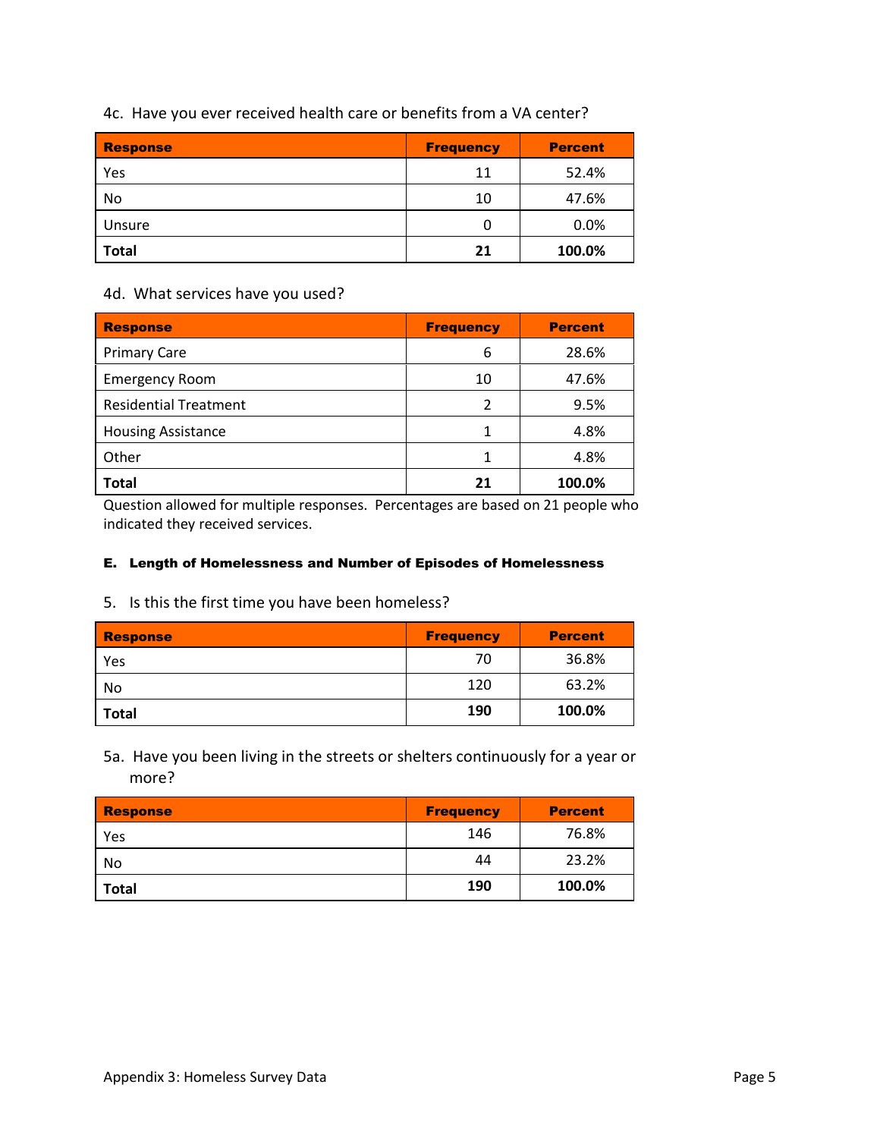| <b>Response</b> | <b>Frequency</b> | <b>Percent</b> |
|-----------------|------------------|----------------|
| Yes             | 11               | 52.4%          |
| No              | 10               | 47.6%          |
| Unsure          | 0                | 0.0%           |
| <b>Total</b>    | 21               | 100.0%         |

### 4c. Have you ever received health care or benefits from a VA center?

#### 4d. What services have you used?

| <b>Response</b>              | <b>Frequency</b> | <b>Percent</b> |
|------------------------------|------------------|----------------|
| <b>Primary Care</b>          | 6                | 28.6%          |
| <b>Emergency Room</b>        | 10               | 47.6%          |
| <b>Residential Treatment</b> | 2                | 9.5%           |
| <b>Housing Assistance</b>    | 1                | 4.8%           |
| Other                        |                  | 4.8%           |
| <b>Total</b>                 | 21               | 100.0%         |

Question allowed for multiple responses. Percentages are based on 21 people who indicated they received services.

### E. Length of Homelessness and Number of Episodes of Homelessness

5. Is this the first time you have been homeless?

| <b>Response</b> | <b>Frequency</b> | <b>Percent</b> |
|-----------------|------------------|----------------|
| Yes             | 70               | 36.8%          |
| No              | 120              | 63.2%          |
| <b>Total</b>    | 190              | 100.0%         |

5a. Have you been living in the streets or shelters continuously for a year or more?

| Response     | <b>Frequency</b> | <b>Percent</b> |
|--------------|------------------|----------------|
| Yes          | 146              | 76.8%          |
| No           | 44               | 23.2%          |
| <b>Total</b> | 190              | 100.0%         |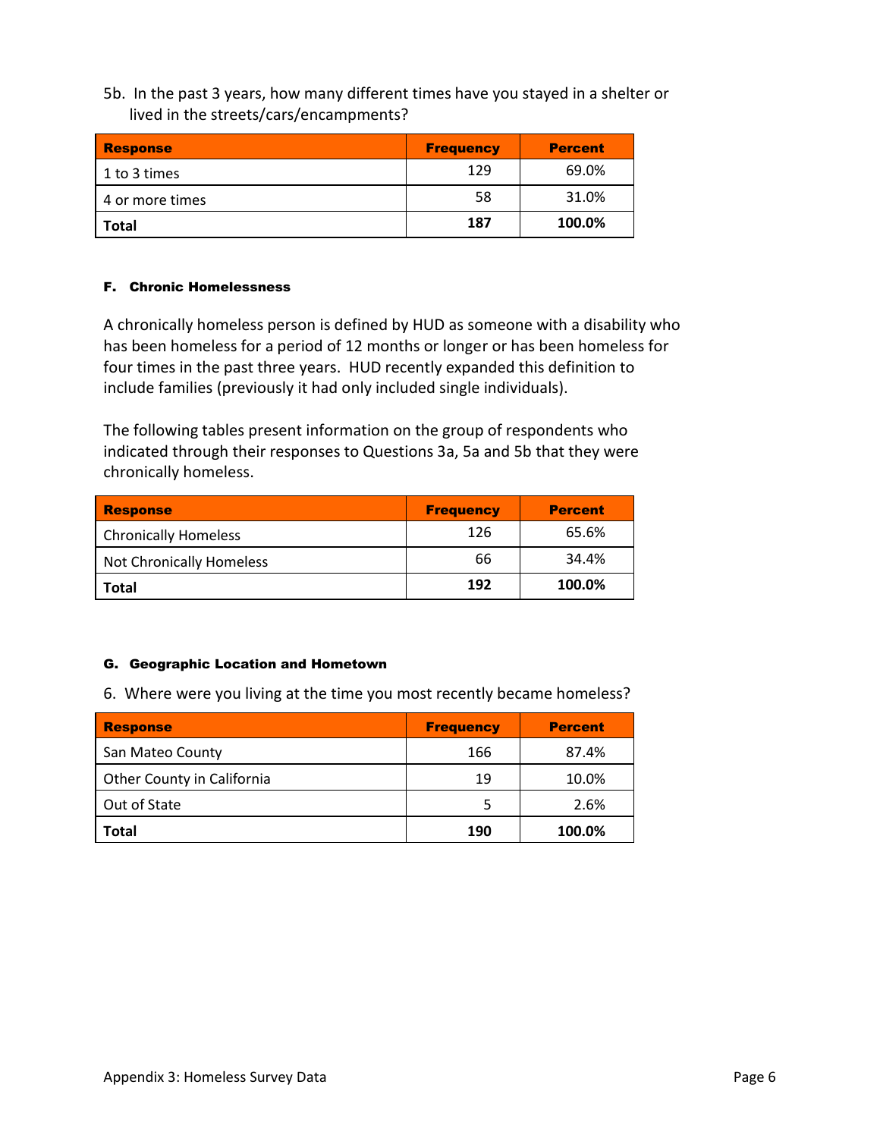5b. In the past 3 years, how many different times have you stayed in a shelter or lived in the streets/cars/encampments?

| <b>Response</b> | <b>Frequency</b> | <b>Percent</b> |
|-----------------|------------------|----------------|
| 1 to 3 times    | 129              | 69.0%          |
| 4 or more times | 58               | 31.0%          |
| <b>Total</b>    | 187              | 100.0%         |

### F. Chronic Homelessness

A chronically homeless person is defined by HUD as someone with a disability who has been homeless for a period of 12 months or longer or has been homeless for four times in the past three years. HUD recently expanded this definition to include families (previously it had only included single individuals).

The following tables present information on the group of respondents who indicated through their responses to Questions 3a, 5a and 5b that they were chronically homeless.

| <b>Response</b>             | <b>Frequency</b> | <b>Percent</b> |
|-----------------------------|------------------|----------------|
| <b>Chronically Homeless</b> | 126              | 65.6%          |
| Not Chronically Homeless    | 66               | 34.4%          |
| <b>Total</b>                | 192              | 100.0%         |

### G. Geographic Location and Hometown

6. Where were you living at the time you most recently became homeless?

| <b>Response</b>            | <b>Frequency</b> | <b>Percent</b> |
|----------------------------|------------------|----------------|
| San Mateo County           | 166              | 87.4%          |
| Other County in California | 19               | 10.0%          |
| Out of State               | 5                | 2.6%           |
| <b>Total</b>               | 190              | 100.0%         |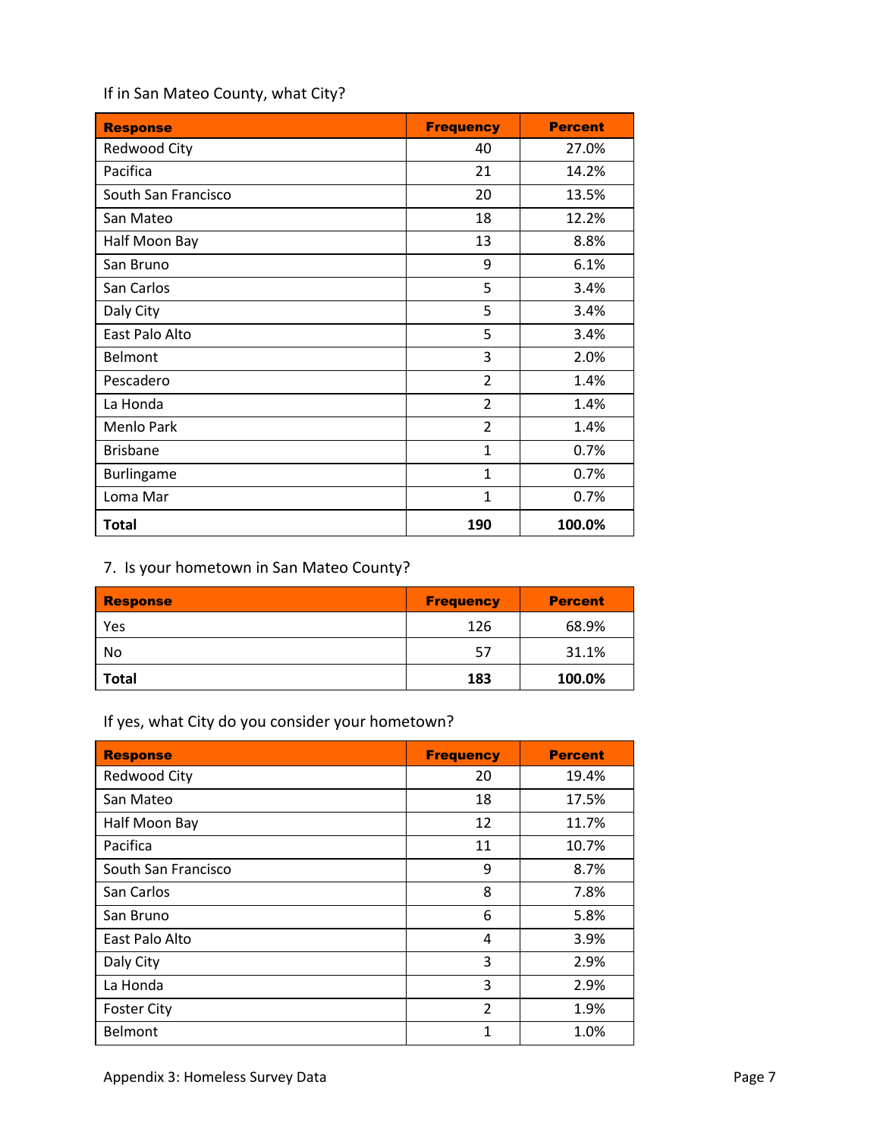## If in San Mateo County, what City?

| <b>Response</b>     | <b>Frequency</b> | <b>Percent</b> |
|---------------------|------------------|----------------|
| Redwood City        | 40               | 27.0%          |
| Pacifica            | 21               | 14.2%          |
| South San Francisco | 20               | 13.5%          |
| San Mateo           | 18               | 12.2%          |
| Half Moon Bay       | 13               | 8.8%           |
| San Bruno           | 9                | 6.1%           |
| San Carlos          | 5                | 3.4%           |
| Daly City           | 5                | 3.4%           |
| East Palo Alto      | 5                | 3.4%           |
| <b>Belmont</b>      | 3                | 2.0%           |
| Pescadero           | 2                | 1.4%           |
| La Honda            | $\overline{2}$   | 1.4%           |
| <b>Menlo Park</b>   | $\overline{2}$   | 1.4%           |
| <b>Brisbane</b>     | $\mathbf{1}$     | 0.7%           |
| Burlingame          | $\mathbf{1}$     | 0.7%           |
| Loma Mar            | $\mathbf{1}$     | 0.7%           |
| <b>Total</b>        | 190              | 100.0%         |

# 7. Is your hometown in San Mateo County?

| <b>Response</b> | <b>Frequency</b> | <b>Percent</b> |
|-----------------|------------------|----------------|
| Yes             | 126              | 68.9%          |
| No              | 57               | 31.1%          |
| <b>Total</b>    | 183              | 100.0%         |

# If yes, what City do you consider your hometown?

| <b>Response</b>     | <b>Frequency</b> | <b>Percent</b> |
|---------------------|------------------|----------------|
| Redwood City        | 20               | 19.4%          |
| San Mateo           | 18               | 17.5%          |
| Half Moon Bay       | 12               | 11.7%          |
| Pacifica            | 11               | 10.7%          |
| South San Francisco | 9                | 8.7%           |
| San Carlos          | 8                | 7.8%           |
| San Bruno           | 6                | 5.8%           |
| East Palo Alto      | 4                | 3.9%           |
| Daly City           | 3                | 2.9%           |
| La Honda            | 3                | 2.9%           |
| <b>Foster City</b>  | $\overline{2}$   | 1.9%           |
| Belmont             | 1                | 1.0%           |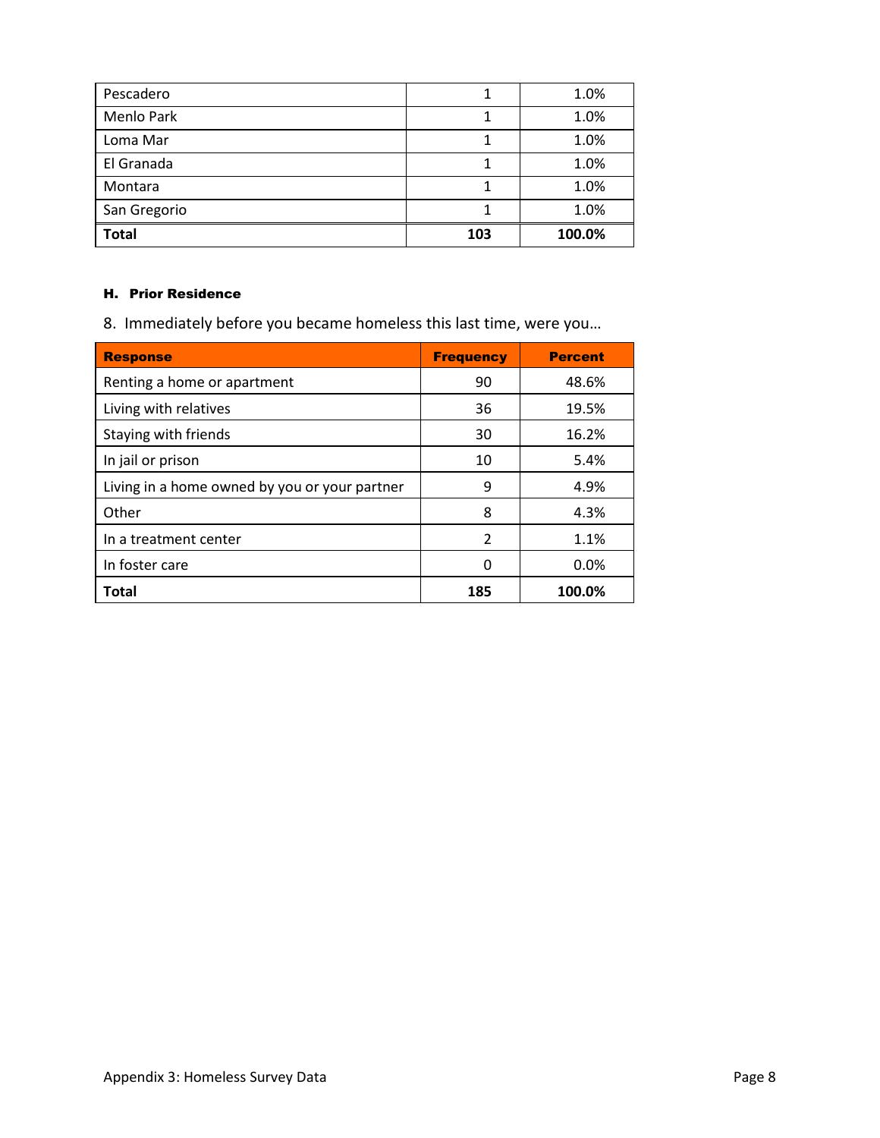| Pescadero    |     | 1.0%   |
|--------------|-----|--------|
| Menlo Park   |     | 1.0%   |
| Loma Mar     |     | 1.0%   |
| El Granada   |     | 1.0%   |
| Montara      |     | 1.0%   |
| San Gregorio |     | 1.0%   |
| <b>Total</b> | 103 | 100.0% |

### H. Prior Residence

8. Immediately before you became homeless this last time, were you…

| <b>Response</b>                               | <b>Frequency</b> | <b>Percent</b> |
|-----------------------------------------------|------------------|----------------|
| Renting a home or apartment                   | 90               | 48.6%          |
| Living with relatives                         | 36               | 19.5%          |
| Staying with friends                          | 30               | 16.2%          |
| In jail or prison                             | 10               | 5.4%           |
| Living in a home owned by you or your partner | 9                | 4.9%           |
| Other                                         | 8                | 4.3%           |
| In a treatment center                         | $\overline{2}$   | 1.1%           |
| In foster care                                | 0                | 0.0%           |
| <b>Total</b>                                  | 185              | 100.0%         |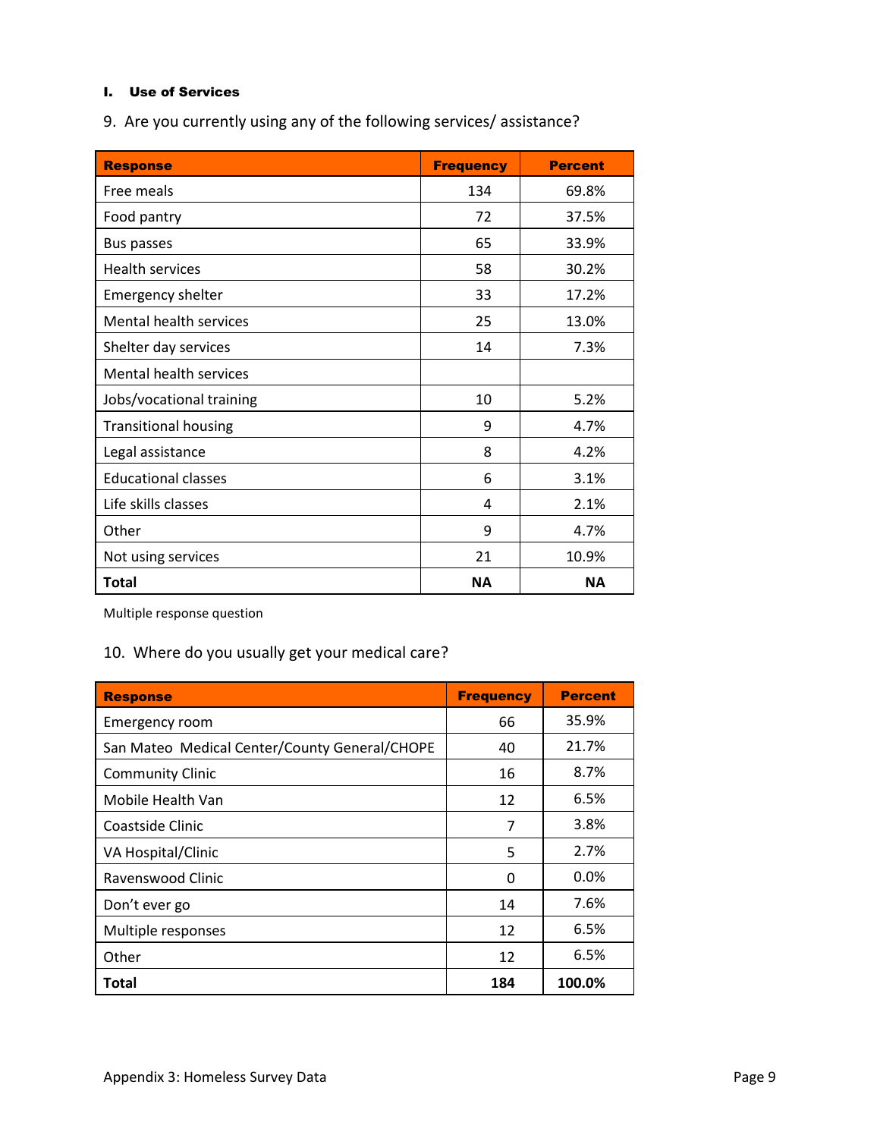### I. Use of Services

9. Are you currently using any of the following services/ assistance?

| <b>Response</b>             | <b>Frequency</b> | <b>Percent</b> |
|-----------------------------|------------------|----------------|
| Free meals                  | 134              | 69.8%          |
| Food pantry                 | 72               | 37.5%          |
| Bus passes                  | 65               | 33.9%          |
| <b>Health services</b>      | 58               | 30.2%          |
| <b>Emergency shelter</b>    | 33               | 17.2%          |
| Mental health services      | 25               | 13.0%          |
| Shelter day services        | 14               | 7.3%           |
| Mental health services      |                  |                |
| Jobs/vocational training    | 10               | 5.2%           |
| <b>Transitional housing</b> | 9                | 4.7%           |
| Legal assistance            | 8                | 4.2%           |
| <b>Educational classes</b>  | 6                | 3.1%           |
| Life skills classes         | 4                | 2.1%           |
| Other                       | 9                | 4.7%           |
| Not using services          | 21               | 10.9%          |
| Total                       | <b>NA</b>        | <b>NA</b>      |

Multiple response question

# 10. Where do you usually get your medical care?

| <b>Response</b>                               | <b>Frequency</b> | <b>Percent</b> |
|-----------------------------------------------|------------------|----------------|
| Emergency room                                | 66               | 35.9%          |
| San Mateo Medical Center/County General/CHOPE | 40               | 21.7%          |
| <b>Community Clinic</b>                       | 16               | 8.7%           |
| Mobile Health Van                             | 12               | 6.5%           |
| Coastside Clinic                              | 7                | 3.8%           |
| VA Hospital/Clinic                            | 5                | 2.7%           |
| Ravenswood Clinic                             | 0                | $0.0\%$        |
| Don't ever go                                 | 14               | 7.6%           |
| Multiple responses                            | 12               | 6.5%           |
| Other                                         | 12               | 6.5%           |
| Total                                         | 184              | 100.0%         |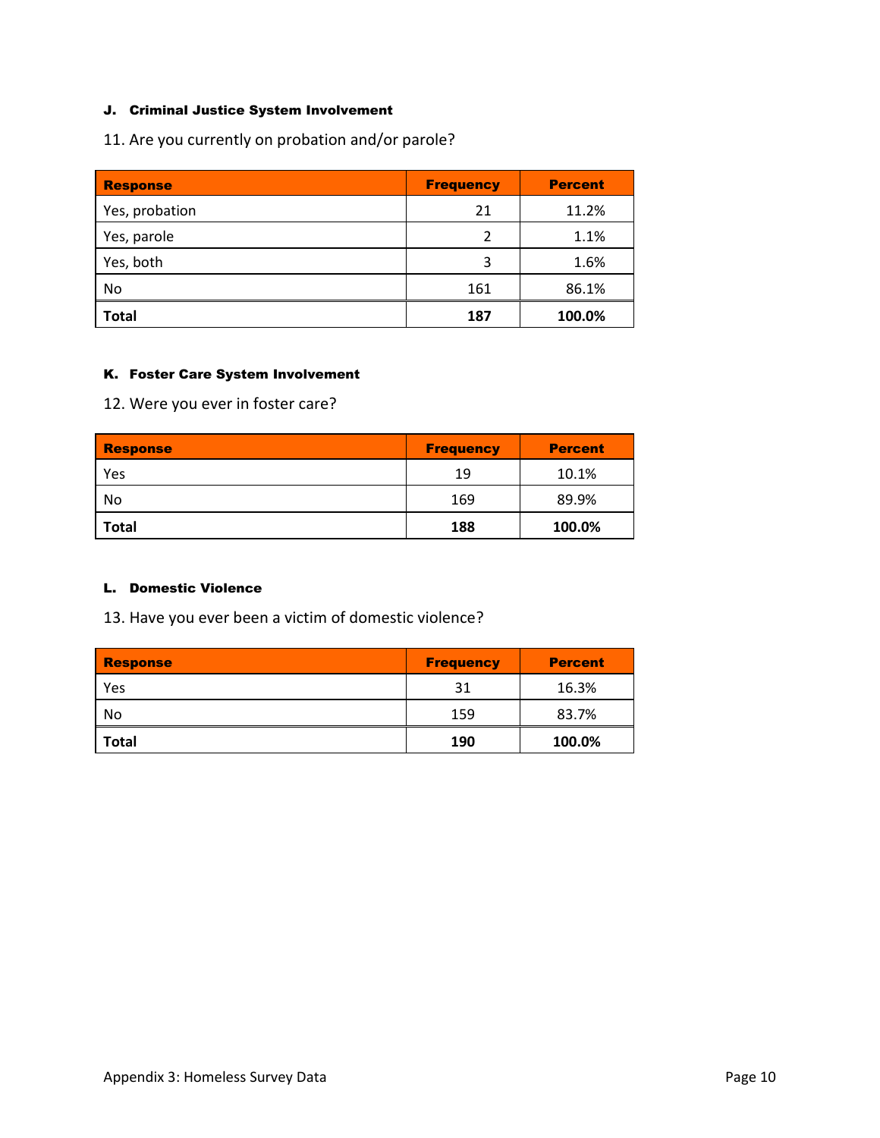## J. Criminal Justice System Involvement

11. Are you currently on probation and/or parole?

| <b>Response</b> | <b>Frequency</b> | <b>Percent</b> |
|-----------------|------------------|----------------|
| Yes, probation  | 21               | 11.2%          |
| Yes, parole     | $\mathfrak{p}$   | 1.1%           |
| Yes, both       | 3                | 1.6%           |
| No              | 161              | 86.1%          |
| <b>Total</b>    | 187              | 100.0%         |

## K. Foster Care System Involvement

12. Were you ever in foster care?

| <b>Response</b> | <b>Frequency</b> | <b>Percent</b> |
|-----------------|------------------|----------------|
| Yes             | 19               | 10.1%          |
| No              | 169              | 89.9%          |
| <b>Total</b>    | 188              | 100.0%         |

### L. Domestic Violence

13. Have you ever been a victim of domestic violence?

| Response     | <b>Frequency</b> | <b>Percent</b> |
|--------------|------------------|----------------|
| Yes          | 31               | 16.3%          |
| No           | 159              | 83.7%          |
| <b>Total</b> | 190              | 100.0%         |